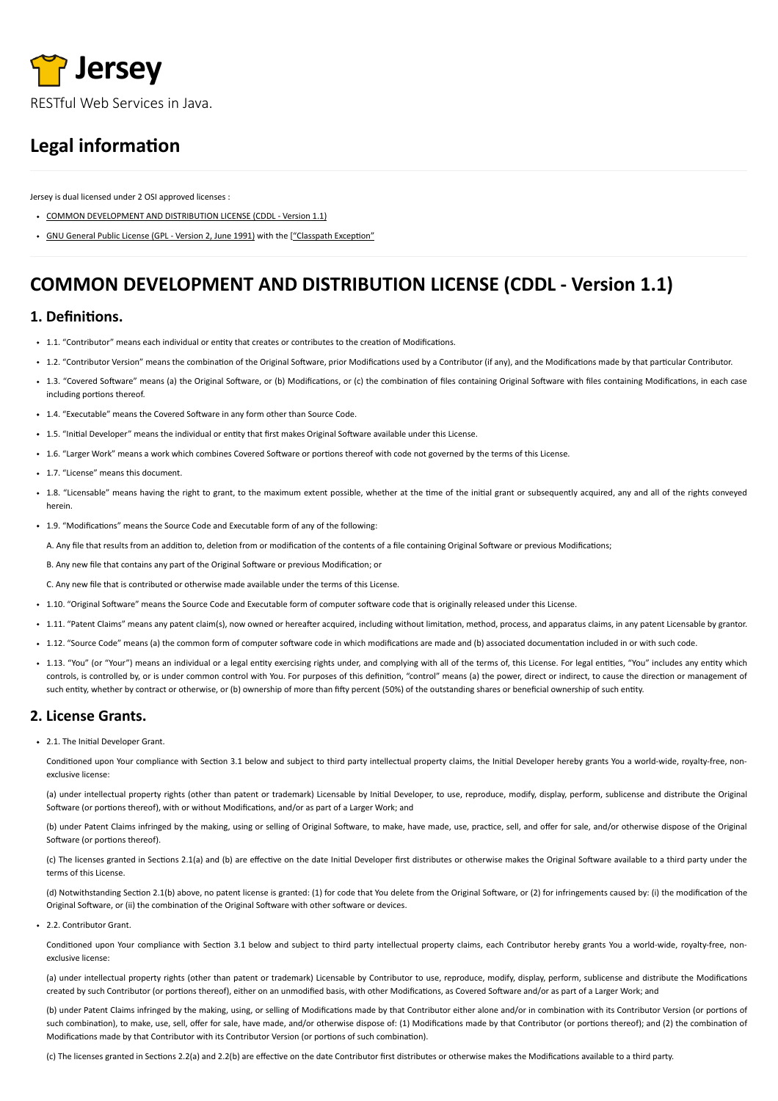

## Legal information

Jersey is dual licensed under 2 OSI approved licenses :

- <span id="page-0-0"></span>[COMMON DEVELOPMENT AND DISTRIBUTION LICENSE \(CDDL - Version 1.1\)](#page-0-0)
- [GNU General Public License \(GPL Version 2, June 1991\)](#page-2-0) with the ["Classpath Exception"

## COMMON DEVELOPMENT AND DISTRIBUTION LICENSE (CDDL - Version 1.1)

#### 1. Definitions.

- 1.1. "Contributor" means each individual or entity that creates or contributes to the creation of Modifications.
- 1.2. "Contributor Version" means the combination of the Original Software, prior Modifications used by a Contributor (if any), and the Modifications made by that particular Contributor.
- 1.3. "Covered Software" means (a) the Original Software, or (b) Modifications, or (c) the combination of files containing Original Software with files containing Modifications, in each case including portions thereof.
- 1.4. "Executable" means the Covered Software in any form other than Source Code.
- 1.5. "Initial Developer" means the individual or entity that first makes Original Software available under this License.
- . 1.6. "Larger Work" means a work which combines Covered Software or portions thereof with code not governed by the terms of this License.
- 1.7. "License" means this document.
- 1.8. "Licensable" means having the right to grant, to the maximum extent possible, whether at the time of the initial grant or subsequently acquired, any and all of the rights conveyed herein.
- 1.9. "Modifications" means the Source Code and Executable form of any of the following:
- A. Any file that results from an addition to, deletion from or modification of the contents of a file containing Original Software or previous Modifications;

B. Any new file that contains any part of the Original Software or previous Modification; or

C. Any new file that is contributed or otherwise made available under the terms of this License.

- . 1.10. "Original Software" means the Source Code and Executable form of computer software code that is originally released under this License.
- 1.11. "Patent Claims" means any patent claim(s), now owned or hereafter acquired, including without limitation, method, process, and apparatus claims, in any patent Licensable by grantor.
- 1.12. "Source Code" means (a) the common form of computer software code in which modifications are made and (b) associated documentation included in or with such code.
- . 1.13. "You" (or "Your") means an individual or a legal entity exercising rights under, and complying with all of the terms of, this License. For legal entities, "You" includes any entity which controls, is controlled by, or is under common control with You. For purposes of this definition, "control" means (a) the power, direct or indirect, to cause the direction or management of such entity, whether by contract or otherwise, or (b) ownership of more than fifty percent (50%) of the outstanding shares or beneficial ownership of such entity.

#### 2. License Grants.

• 2.1. The Initial Developer Grant.

Conditioned upon Your compliance with Section 3.1 below and subject to third party intellectual property claims, the Initial Developer hereby grants You a world-wide, royalty-free, nonexclusive license:

(a) under intellectual property rights (other than patent or trademark) Licensable by Inial Developer, to use, reproduce, modify, display, perform, sublicense and distribute the Original Software (or portions thereof), with or without Modifications, and/or as part of a Larger Work; and

(b) under Patent Claims infringed by the making, using or selling of Original Software, to make, have made, use, practice, sell, and offer for sale, and/or otherwise dispose of the Original Software (or portions thereof).

(c) The licenses granted in Sections 2.1(a) and (b) are effective on the date Initial Developer first distributes or otherwise makes the Original Software available to a third party under the terms of this License.

(d) Notwithstanding Section 2.1(b) above, no patent license is granted: (1) for code that You delete from the Original Software, or (2) for infringements caused by: (i) the modification of the Original Software, or (ii) the combination of the Original Software with other software or devices.

2.2. Contributor Grant.

Conditioned upon Your compliance with Section 3.1 below and subject to third party intellectual property claims, each Contributor hereby grants You a world-wide, royalty-free, nonexclusive license:

(a) under intellectual property rights (other than patent or trademark) Licensable by Contributor to use, reproduce, modify, display, perform, sublicense and distribute the Modifications created by such Contributor (or portions thereof), either on an unmodified basis, with other Modifications, as Covered Software and/or as part of a Larger Work; and

(b) under Patent Claims infringed by the making, using, or selling of Modifications made by that Contributor either alone and/or in combination with its Contributor Version (or portions of such combination), to make, use, sell, offer for sale, have made, and/or otherwise dispose of: (1) Modifications made by that Contributor (or portions thereof); and (2) the combination of Modifications made by that Contributor with its Contributor Version (or portions of such combination).

(c) The licenses granted in Sections 2.2(a) and 2.2(b) are effective on the date Contributor first distributes or otherwise makes the Modifications available to a third party.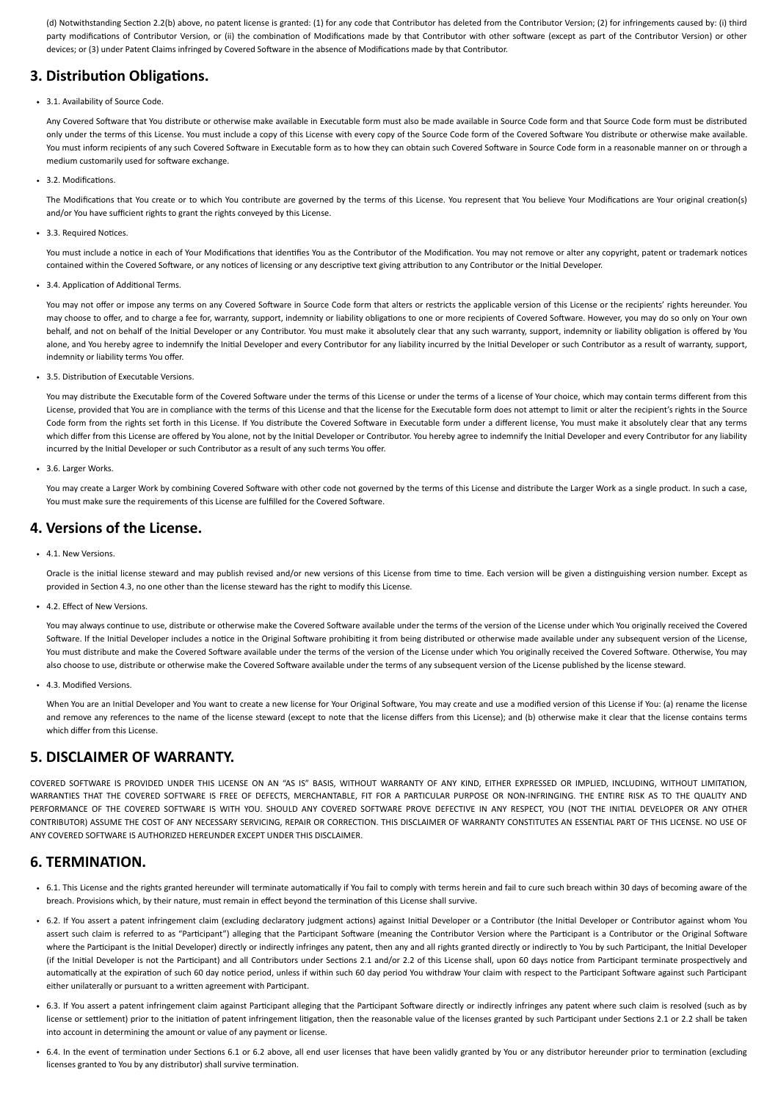(d) Notwithstanding Section 2.2(b) above, no patent license is granted: (1) for any code that Contributor has deleted from the Contributor Version; (2) for infringements caused by: (i) third party modifications of Contributor Version, or (ii) the combination of Modifications made by that Contributor with other software (except as part of the Contributor Version) or other devices; or (3) under Patent Claims infringed by Covered Software in the absence of Modifications made by that Contributor.

### 3. Distribution Obligations.

#### 3.1. Availability of Source Code.

Any Covered Software that You distribute or otherwise make available in Executable form must also be made available in Source Code form and that Source Code form must be distributed only under the terms of this License. You must include a copy of this License with every copy of the Source Code form of the Covered Software You distribute or otherwise make available. You must inform recipients of any such Covered Software in Executable form as to how they can obtain such Covered Software in Source Code form in a reasonable manner on or through a medium customarily used for software exchange.

• 3.2. Modifications.

The Modifications that You create or to which You contribute are governed by the terms of this License. You represent that You believe Your Modifications are Your original creation(s) and/or You have sufficient rights to grant the rights conveyed by this License.

• 3.3. Required Notices.

You must include a notice in each of Your Modifications that identifies You as the Contributor of the Modification. You may not remove or alter any copyright, patent or trademark notices contained within the Covered Software, or any notices of licensing or any descriptive text giving attribution to any Contributor or the Initial Developer.

3.4. Application of Additional Terms.

You may not offer or impose any terms on any Covered Software in Source Code form that alters or restricts the applicable version of this License or the recipients' rights hereunder. You may choose to offer, and to charge a fee for, warranty, support, indemnity or liability obligations to one or more recipients of Covered Software. However, you may do so only on Your own behalf, and not on behalf of the Initial Developer or any Contributor. You must make it absolutely clear that any such warranty, support, indemnity or liability obligation is offered by You alone, and You hereby agree to indemnify the Initial Developer and every Contributor for any liability incurred by the Initial Developer or such Contributor as a result of warranty, support, indemnity or liability terms You offer.

• 3.5. Distribution of Executable Versions.

You may distribute the Executable form of the Covered Software under the terms of this License or under the terms of a license of Your choice, which may contain terms different from this License, provided that You are in compliance with the terms of this License and that the license for the Executable form does not attempt to limit or alter the recipient's rights in the Source Code form from the rights set forth in this License. If You distribute the Covered Software in Executable form under a different license. You must make it absolutely clear that any terms which differ from this License are offered by You alone, not by the Initial Developer or Contributor. You hereby agree to indemnify the Initial Developer and every Contributor for any liability incurred by the Initial Developer or such Contributor as a result of any such terms You offer.

3.6. Larger Works.

You may create a Larger Work by combining Covered Software with other code not governed by the terms of this License and distribute the Larger Work as a single product. In such a case, You must make sure the requirements of this License are fulfilled for the Covered Software.

#### 4. Versions of the License.

4.1. New Versions.

Oracle is the initial license steward and may publish revised and/or new versions of this License from time to time. Each version will be given a distinguishing version number. Except as provided in Section 4.3, no one other than the license steward has the right to modify this License.

4.2. Effect of New Versions.

You may always continue to use, distribute or otherwise make the Covered Software available under the terms of the version of the License under which You originally received the Covered Software. If the Initial Developer includes a notice in the Original Software prohibiting it from being distributed or otherwise made available under any subsequent version of the License, You must distribute and make the Covered Software available under the terms of the version of the License under which You originally received the Covered Software. Otherwise, You may also choose to use, distribute or otherwise make the Covered Software available under the terms of any subsequent version of the License published by the license steward.

4.3. Modified Versions.

When You are an Initial Developer and You want to create a new license for Your Original Software, You may create and use a modified version of this License if You: (a) rename the license and remove any references to the name of the license steward (except to note that the license differs from this License); and (b) otherwise make it clear that the license contains terms which differ from this License.

#### 5. DISCLAIMER OF WARRANTY.

COVERED SOFTWARE IS PROVIDED UNDER THIS LICENSE ON AN "AS IS" BASIS, WITHOUT WARRANTY OF ANY KIND, EITHER EXPRESSED OR IMPLIED, INCLUDING, WITHOUT LIMITATION, WARRANTIES THAT THE COVERED SOFTWARE IS FREE OF DEFECTS, MERCHANTABLE, FIT FOR A PARTICULAR PURPOSE OR NON-INFRINGING. THE ENTIRE RISK AS TO THE QUALITY AND PERFORMANCE OF THE COVERED SOFTWARE IS WITH YOU. SHOULD ANY COVERED SOFTWARE PROVE DEFECTIVE IN ANY RESPECT, YOU (NOT THE INITIAL DEVELOPER OR ANY OTHER CONTRIBUTOR) ASSUME THE COST OF ANY NECESSARY SERVICING, REPAIR OR CORRECTION. THIS DISCLAIMER OF WARRANTY CONSTITUTES AN ESSENTIAL PART OF THIS LICENSE. NO USE OF ANY COVERED SOFTWARE IS AUTHORIZED HEREUNDER EXCEPT UNDER THIS DISCLAIMER.

#### 6. TERMINATION.

- 6.1. This License and the rights granted hereunder will terminate automatically if You fail to comply with terms herein and fail to cure such breach within 30 days of becoming aware of the breach. Provisions which, by their nature, must remain in effect beyond the termination of this License shall survive.
- 6.2. If You assert a patent infringement claim (excluding declaratory judgment actions) against Initial Developer or a Contributor (the Initial Developer or Contributor against whom You assert such claim is referred to as "Participant") alleging that the Participant Software (meaning the Contributor Version where the Participant is a Contributor or the Original Software where the Participant is the Initial Developer) directly or indirectly infringes any patent, then any and all rights granted directly or indirectly to You by such Participant, the Initial Developer (if the Initial Developer is not the Participant) and all Contributors under Sections 2.1 and/or 2.2 of this License shall, upon 60 days notice from Participant terminate prospectively and automatically at the expiration of such 60 day notice period, unless if within such 60 day period You withdraw Your claim with respect to the Participant Software against such Participant either unilaterally or pursuant to a written agreement with Participant.
- 6.3. If You assert a patent infringement claim against Participant alleging that the Participant Software directly or indirectly infringes any patent where such claim is resolved (such as by license or settlement) prior to the initiation of patent infringement litigation, then the reasonable value of the licenses granted by such Participant under Sections 2.1 or 2.2 shall be taken into account in determining the amount or value of any payment or license.
- 6.4. In the event of termination under Sections 6.1 or 6.2 above, all end user licenses that have been validly granted by You or any distributor hereunder prior to termination (excluding licenses granted to You by any distributor) shall survive termination.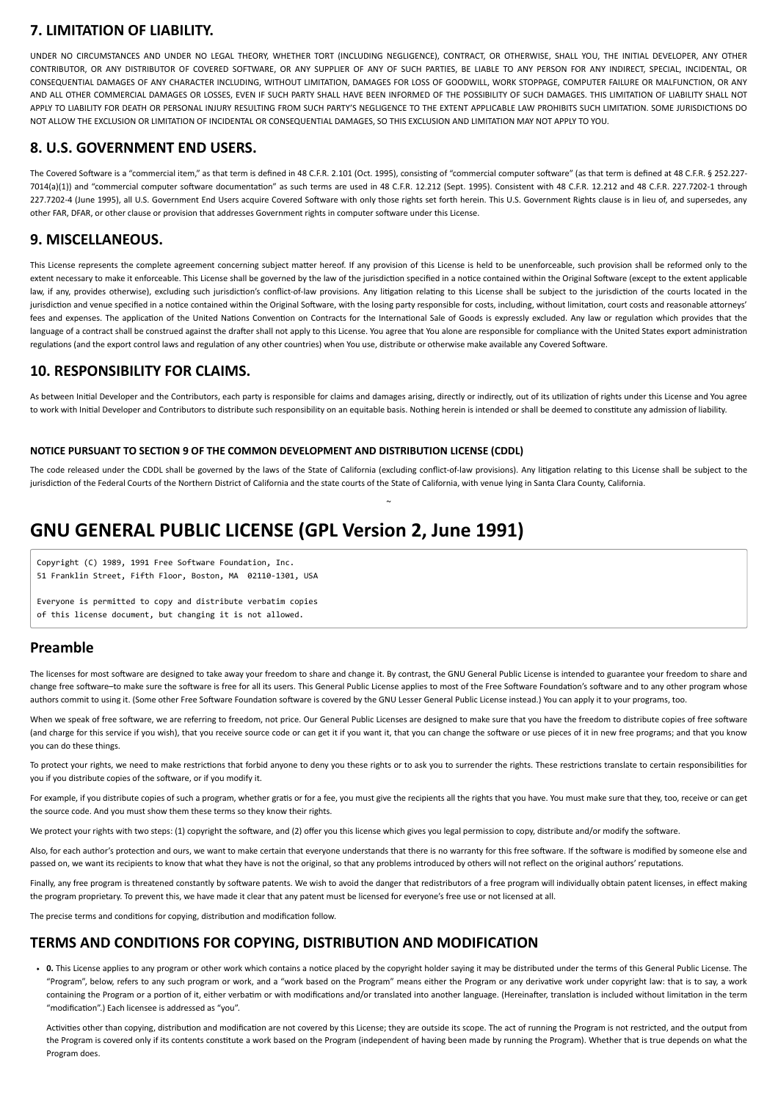### 7. LIMITATION OF LIABILITY.

UNDER NO CIRCUMSTANCES AND UNDER NO LEGAL THEORY, WHETHER TORT (INCLUDING NEGLIGENCE), CONTRACT, OR OTHERWISE, SHALL YOU, THE INITIAL DEVELOPER, ANY OTHER CONTRIBUTOR, OR ANY DISTRIBUTOR OF COVERED SOFTWARE, OR ANY SUPPLIER OF ANY OF SUCH PARTIES, BE LIABLE TO ANY PERSON FOR ANY INDIRECT, SPECIAL, INCIDENTAL, OR CONSEQUENTIAL DAMAGES OF ANY CHARACTER INCLUDING, WITHOUT LIMITATION, DAMAGES FOR LOSS OF GOODWILL, WORK STOPPAGE, COMPUTER FAILURE OR MALFUNCTION, OR ANY AND ALL OTHER COMMERCIAL DAMAGES OR LOSSES, EVEN IF SUCH PARTY SHALL HAVE BEEN INFORMED OF THE POSSIBILITY OF SUCH DAMAGES. THIS LIMITATION OF LIABILITY SHALL NOT APPLY TO LIABILITY FOR DEATH OR PERSONAL INJURY RESULTING FROM SUCH PARTY'S NEGLIGENCE TO THE EXTENT APPLICABLE LAW PROHIBITS SUCH LIMITATION. SOME JURISDICTIONS DO NOT ALLOW THE EXCLUSION OR LIMITATION OF INCIDENTAL OR CONSEQUENTIAL DAMAGES, SO THIS EXCLUSION AND LIMITATION MAY NOT APPLY TO YOU.

#### 8. U.S. GOVERNMENT END USERS.

The Covered Software is a "commercial item," as that term is defined in 48 C.F.R. 2.101 (Oct. 1995), consisting of "commercial computer software" (as that term is defined at 48 C.F.R. § 252.227-7014(a)(1)) and "commercial computer software documentation" as such terms are used in 48 C.F.R. 12.212 (Sept. 1995). Consistent with 48 C.F.R. 12.212 and 48 C.F.R. 227.7202-1 through 227.7202-4 (June 1995), all U.S. Government End Users acquire Covered Software with only those rights set forth herein. This U.S. Government Rights clause is in lieu of, and supersedes, any other FAR, DFAR, or other clause or provision that addresses Government rights in computer software under this License.

#### 9. MISCELLANEOUS.

This License represents the complete agreement concerning subject matter hereof. If any provision of this License is held to be unenforceable, such provision shall be reformed only to the extent necessary to make it enforceable. This License shall be governed by the law of the jurisdiction specified in a notice contained within the Original Software (except to the extent applicable law, if any, provides otherwise), excluding such jurisdiction's conflict-of-law provisions. Any litigation relating to this License shall be subject to the jurisdiction of the courts located in the jurisdiction and venue specified in a notice contained within the Original Software, with the losing party responsible for costs, including, without limitation, court costs and reasonable attorneys' fees and expenses. The application of the United Nations Convention on Contracts for the International Sale of Goods is expressly excluded. Any law or regulation which provides that the language of a contract shall be construed against the drafter shall not apply to this License. You agree that You alone are responsible for compliance with the United States export administration regulations (and the export control laws and regulation of any other countries) when You use, distribute or otherwise make available any Covered Software.

#### 10. RESPONSIBILITY FOR CLAIMS.

As between Initial Developer and the Contributors, each party is responsible for claims and damages arising, directly or indirectly, out of its utilization of rights under this License and You agree to work with Initial Developer and Contributors to distribute such responsibility on an equitable basis. Nothing herein is intended or shall be deemed to constitute any admission of liability.

#### NOTICE PURSUANT TO SECTION 9 OF THE COMMON DEVELOPMENT AND DISTRIBUTION LICENSE (CDDL)

<span id="page-2-0"></span>The code released under the CDDL shall be governed by the laws of the State of California (excluding conflict-of-law provisions). Any litigation relating to this License shall be subject to the jurisdiction of the Federal Courts of the Northern District of California and the state courts of the State of California, with venue lying in Santa Clara County, California.

~

### GNU GENERAL PUBLIC LICENSE (GPL Version 2, June 1991)

Copyright (C) 1989, 1991 Free Software Foundation, Inc. 51 Franklin Street, Fifth Floor, Boston, MA 02110-1301, USA

Everyone is permitted to copy and distribute verbatim copies of this license document, but changing it is not allowed.

#### Preamble

The licenses for most software are designed to take away your freedom to share and change it. By contrast, the GNU General Public License is intended to guarantee your freedom to share and change free software-to make sure the software is free for all its users. This General Public License applies to most of the Free Software Foundation's software and to any other program whose authors commit to using it. (Some other Free Software Foundation software is covered by the GNU Lesser General Public License instead.) You can apply it to your programs, too.

When we speak of free software, we are referring to freedom, not price. Our General Public Licenses are designed to make sure that you have the freedom to distribute copies of free software (and charge for this service if you wish), that you receive source code or can get it if you want it, that you can change the software or use pieces of it in new free programs; and that you know you can do these things.

To protect your rights, we need to make restrictions that forbid anyone to deny you these rights or to ask you to surrender the rights. These restrictions translate to certain responsibilities for you if you distribute copies of the software, or if you modify it.

For example, if you distribute copies of such a program, whether gratis or for a fee, you must give the recipients all the rights that you have. You must make sure that they, too, receive or can get the source code. And you must show them these terms so they know their rights.

We protect your rights with two steps: (1) copyright the software, and (2) offer you this license which gives you legal permission to copy, distribute and/or modify the software.

Also, for each author's protection and ours, we want to make certain that everyone understands that there is no warranty for this free software. If the software is modified by someone else and passed on, we want its recipients to know that what they have is not the original, so that any problems introduced by others will not reflect on the original authors' reputations.

Finally, any free program is threatened constantly by software patents. We wish to avoid the danger that redistributors of a free program will individually obtain patent licenses, in effect making the program proprietary. To prevent this, we have made it clear that any patent must be licensed for everyone's free use or not licensed at all.

The precise terms and conditions for copying, distribution and modification follow.

#### TERMS AND CONDITIONS FOR COPYING, DISTRIBUTION AND MODIFICATION

0. This License applies to any program or other work which contains a notice placed by the copyright holder saying it may be distributed under the terms of this General Public License. The "Program", below, refers to any such program or work, and a "work based on the Program" means either the Program or any derivative work under copyright law: that is to say. a work containing the Program or a portion of it, either verbatim or with modifications and/or translated into another language. (Hereinafter, translation is included without limitation in the term "modification".) Each licensee is addressed as "you".

Activities other than copying, distribution and modification are not covered by this License; they are outside its scope. The act of running the Program is not restricted, and the output from the Program is covered only if its contents constitute a work based on the Program (independent of having been made by running the Program). Whether that is true depends on what the Program does.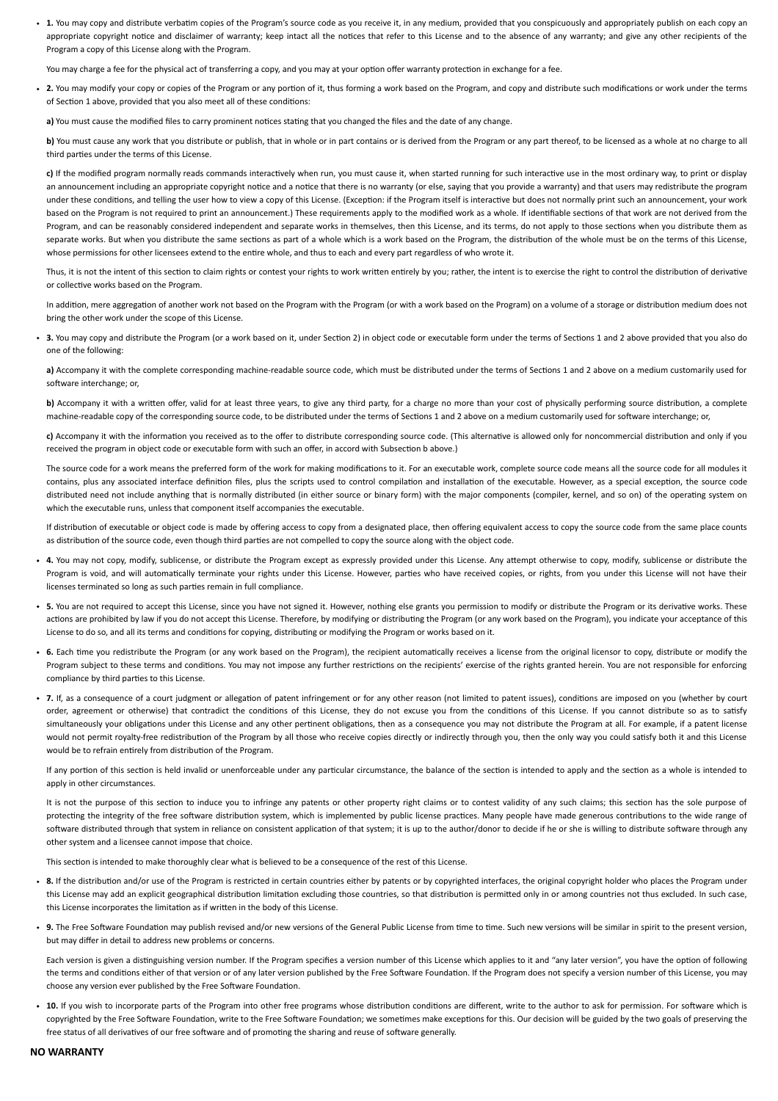• 1. You may copy and distribute verbatim copies of the Program's source code as you receive it, in any medium, provided that you conspicuously and appropriately publish on each copy an appropriate copyright notice and disclaimer of warranty; keep intact all the notices that refer to this License and to the absence of any warranty; and give any other recipients of the Program a copy of this License along with the Program.

You may charge a fee for the physical act of transferring a copy, and you may at your option offer warranty protection in exchange for a fee.

2. You may modify your copy or copies of the Program or any portion of it, thus forming a work based on the Program, and copy and distribute such modifications or work under the terms of Section 1 above, provided that you also meet all of these conditions:

a) You must cause the modified files to carry prominent notices stating that you changed the files and the date of any change.

b) You must cause any work that you distribute or publish, that in whole or in part contains or is derived from the Program or any part thereof, to be licensed as a whole at no charge to all third parties under the terms of this License.

c) If the modified program normally reads commands interactively when run, you must cause it, when started running for such interactive use in the most ordinary way, to print or display an announcement including an appropriate copyright notice and a notice that there is no warranty (or else, saying that you provide a warranty) and that users may redistribute the program under these conditions, and telling the user how to view a copy of this License. (Exception: if the Program itself is interactive but does not normally print such an announcement, your work based on the Program is not required to print an announcement.) These requirements apply to the modified work as a whole. If identifiable sections of that work are not derived from the Program, and can be reasonably considered independent and separate works in themselves, then this License, and its terms, do not apply to those sections when you distribute them as separate works. But when you distribute the same sections as part of a whole which is a work based on the Program, the distribution of the whole must be on the terms of this License. whose permissions for other licensees extend to the entire whole, and thus to each and every part regardless of who wrote it.

Thus, it is not the intent of this section to claim rights or contest your rights to work written entirely by you; rather, the intent is to exercise the right to control the distribution of derivative or collective works based on the Program.

In addition, mere aggregation of another work not based on the Program with the Program (or with a work based on the Program) on a volume of a storage or distribution medium does not bring the other work under the scope of this License.

3. You may copy and distribute the Program (or a work based on it, under Section 2) in object code or executable form under the terms of Sections 1 and 2 above provided that you also do one of the following:

a) Accompany it with the complete corresponding machine-readable source code, which must be distributed under the terms of Sections 1 and 2 above on a medium customarily used for software interchange; or,

b) Accompany it with a written offer, valid for at least three years, to give any third party, for a charge no more than your cost of physically performing source distribution, a complete machine-readable copy of the corresponding source code, to be distributed under the terms of Sections 1 and 2 above on a medium customarily used for software interchange; or,

c) Accompany it with the information you received as to the offer to distribute corresponding source code. (This alternative is allowed only for noncommercial distribution and only if you received the program in object code or executable form with such an offer, in accord with Subsection b above.)

The source code for a work means the preferred form of the work for making modifications to it. For an executable work, complete source code means all the source code for all modules it contains, plus any associated interface definition files, plus the scripts used to control compilation and installation of the executable. However, as a special exception, the source code distributed need not include anything that is normally distributed (in either source or binary form) with the major components (compiler, kernel, and so on) of the operating system on which the executable runs, unless that component itself accompanies the executable.

If distribution of executable or object code is made by offering access to copy from a designated place, then offering equivalent access to copy the source code from the same place counts as distribution of the source code, even though third parties are not compelled to copy the source along with the object code.

- . 4. You may not copy, modify, sublicense, or distribute the Program except as expressly provided under this License. Any attempt otherwise to copy, modify, sublicense or distribute the Program is void, and will automatically terminate your rights under this License. However, parties who have received copies, or rights, from you under this License will not have their licenses terminated so long as such parties remain in full compliance.
- 5. You are not required to accept this License, since you have not signed it. However, nothing else grants you permission to modify or distribute the Program or its derivative works. These actions are prohibited by law if you do not accept this License. Therefore, by modifying or distributing the Program (or any work based on the Program), you indicate your acceptance of this License to do so, and all its terms and conditions for copying, distributing or modifying the Program or works based on it.
- 6. Each time you redistribute the Program (or any work based on the Program), the recipient automatically receives a license from the original licensor to copy, distribute or modify the Program subject to these terms and conditions. You may not impose any further restrictions on the recipients' exercise of the rights granted herein. You are not responsible for enforcing compliance by third parties to this License.
- . 7. If, as a consequence of a court judgment or allegation of patent infringement or for any other reason (not limited to patent issues), conditions are imposed on you (whether by court order, agreement or otherwise) that contradict the conditions of this License, they do not excuse you from the conditions of this License. If you cannot distribute so as to satisfy simultaneously your obligations under this License and any other pertinent obligations, then as a consequence you may not distribute the Program at all. For example, if a patent license would not permit royalty-free redistribution of the Program by all those who receive copies directly or indirectly through you, then the only way you could satisfy both it and this License would be to refrain entirely from distribution of the Program.

If any portion of this section is held invalid or unenforceable under any particular circumstance, the balance of the section is intended to apply and the section as a whole is intended to apply in other circumstances.

It is not the purpose of this section to induce you to infringe any patents or other property right claims or to contest validity of any such claims; this section has the sole purpose of protecting the integrity of the free software distribution system, which is implemented by public license practices. Many people have made generous contributions to the wide range of software distributed through that system in reliance on consistent application of that system; it is up to the author/donor to decide if he or she is willing to distribute software through any other system and a licensee cannot impose that choice.

This section is intended to make thoroughly clear what is believed to be a consequence of the rest of this License.

- 8. If the distribution and/or use of the Program is restricted in certain countries either by patents or by copyrighted interfaces, the original copyright holder who places the Program under this License may add an explicit geographical distribution limitation excluding those countries, so that distribution is permitted only in or among countries not thus excluded. In such case, this License incorporates the limitation as if written in the body of this License.
- . 9. The Free Software Foundation may publish revised and/or new versions of the General Public License from time to time. Such new versions will be similar in spirit to the present version, but may differ in detail to address new problems or concerns.

Each version is given a distinguishing version number. If the Program specifies a version number of this License which applies to it and "any later version", you have the option of following the terms and conditions either of that version or of any later version published by the Free Software Foundation. If the Program does not specify a version number of this License, you may choose any version ever published by the Free Software Foundation.

. 10. If you wish to incorporate parts of the Program into other free programs whose distribution conditions are different, write to the author to ask for permission. For software which is copyrighted by the Free Software Foundation, write to the Free Software Foundation; we sometimes make exceptions for this. Our decision will be guided by the two goals of preserving the free status of all derivatives of our free software and of promoting the sharing and reuse of software generally.